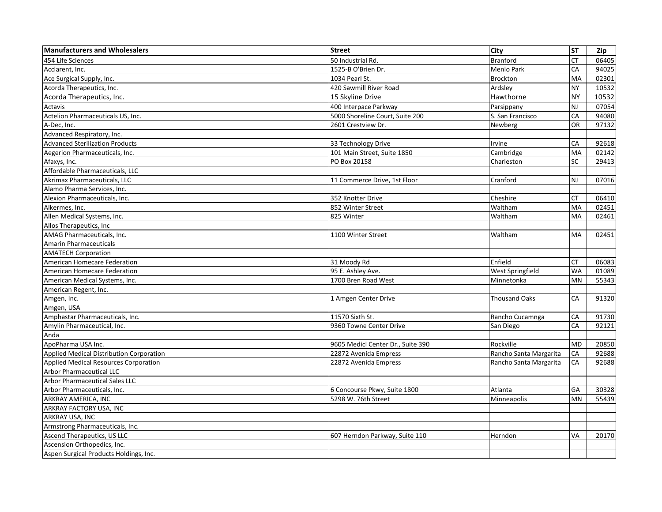| <b>Manufacturers and Wholesalers</b>     | <b>Street</b>                     | City                   | <b>ST</b> | Zip   |
|------------------------------------------|-----------------------------------|------------------------|-----------|-------|
| 454 Life Sciences                        | 50 Industrial Rd.                 | Branford               | <b>CT</b> | 06405 |
| Acclarent, Inc.                          | 1525-B O'Brien Dr.                | Menlo Park             | CA        | 94025 |
| Ace Surgical Supply, Inc.                | 1034 Pearl St.                    | Brockton               | MA        | 02301 |
| Acorda Therapeutics, Inc.                | 420 Sawmill River Road            | Ardsley                | <b>NY</b> | 10532 |
| Acorda Therapeutics, Inc.                | 15 Skyline Drive                  | Hawthorne              | <b>NY</b> | 10532 |
| Actavis                                  | 400 Interpace Parkway             | Parsippany             | <b>NJ</b> | 07054 |
| Actelion Pharmaceuticals US, Inc.        | 5000 Shoreline Court, Suite 200   | S. San Francisco       | CA        | 94080 |
| A-Dec, Inc.                              | 2601 Crestview Dr.                | Newberg                | OR        | 97132 |
| Advanced Respiratory, Inc.               |                                   |                        |           |       |
| <b>Advanced Sterilization Products</b>   | 33 Technology Drive               | Irvine                 | CA        | 92618 |
| Aegerion Pharmaceuticals, Inc.           | 101 Main Street, Suite 1850       | Cambridge              | MA        | 02142 |
| Afaxys, Inc.                             | PO Box 20158                      | Charleston             | <b>SC</b> | 29413 |
| Affordable Pharmaceuticals, LLC          |                                   |                        |           |       |
| <b>Akrimax Pharmaceuticals, LLC</b>      | 11 Commerce Drive, 1st Floor      | Cranford               | NJ        | 07016 |
| Alamo Pharma Services, Inc.              |                                   |                        |           |       |
| Alexion Pharmaceuticals, Inc.            | 352 Knotter Drive                 | Cheshire               | <b>CT</b> | 06410 |
| Alkermes, Inc.                           | 852 Winter Street                 | Waltham                | MA        | 02451 |
| Allen Medical Systems, Inc.              | 825 Winter                        | Waltham                | <b>MA</b> | 02461 |
| Allos Therapeutics, Inc.                 |                                   |                        |           |       |
| AMAG Pharmaceuticals, Inc.               | 1100 Winter Street                | Waltham                | MA        | 02451 |
| <b>Amarin Pharmaceuticals</b>            |                                   |                        |           |       |
| <b>AMATECH Corporation</b>               |                                   |                        |           |       |
| American Homecare Federation             | 31 Moody Rd                       | Enfield                | <b>CT</b> | 06083 |
| American Homecare Federation             | 95 E. Ashley Ave.                 | West Springfield       | <b>WA</b> | 01089 |
| American Medical Systems, Inc.           | 1700 Bren Road West               | Minnetonka             | MN        | 55343 |
| American Regent, Inc.                    |                                   |                        |           |       |
| Amgen, Inc.                              | 1 Amgen Center Drive              | <b>Thousand Oaks</b>   | CA        | 91320 |
| Amgen, USA                               |                                   |                        |           |       |
| Amphastar Pharmaceuticals, Inc.          | 11570 Sixth St.                   | Rancho Cucamnga        | CA        | 91730 |
| Amylin Pharmaceutical, Inc.              | 9360 Towne Center Drive           | San Diego              | CA        | 92121 |
| Anda                                     |                                   |                        |           |       |
| ApoPharma USA Inc.                       | 9605 Medicl Center Dr., Suite 390 | Rockville              | <b>MD</b> | 20850 |
| Applied Medical Distribution Corporation | 22872 Avenida Empress             | Rancho Santa Margarita | CA        | 92688 |
| Applied Medical Resources Corporation    | 22872 Avenida Empress             | Rancho Santa Margarita | CA        | 92688 |
| <b>Arbor Pharmaceutical LLC</b>          |                                   |                        |           |       |
| <b>Arbor Pharmaceutical Sales LLC</b>    |                                   |                        |           |       |
| Arbor Pharmaceuticals, Inc.              | 6 Concourse Pkwy, Suite 1800      | Atlanta                | GA        | 30328 |
| ARKRAY AMERICA, INC                      | 5298 W. 76th Street               | Minneapolis            | <b>MN</b> | 55439 |
| ARKRAY FACTORY USA, INC                  |                                   |                        |           |       |
| ARKRAY USA, INC                          |                                   |                        |           |       |
| Armstrong Pharmaceuticals, Inc.          |                                   |                        |           |       |
| Ascend Therapeutics, US LLC              | 607 Herndon Parkway, Suite 110    | Herndon                | <b>VA</b> | 20170 |
| Ascension Orthopedics, Inc.              |                                   |                        |           |       |
| Aspen Surgical Products Holdings, Inc.   |                                   |                        |           |       |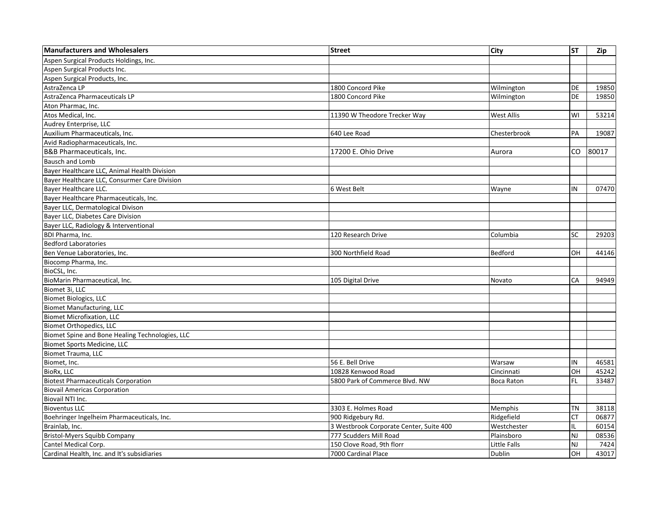| <b>Manufacturers and Wholesalers</b>            | <b>Street</b>                           | City              | <b>ST</b> | Zip   |
|-------------------------------------------------|-----------------------------------------|-------------------|-----------|-------|
| Aspen Surgical Products Holdings, Inc.          |                                         |                   |           |       |
| Aspen Surgical Products Inc.                    |                                         |                   |           |       |
| Aspen Surgical Products, Inc.                   |                                         |                   |           |       |
| AstraZenca LP                                   | 1800 Concord Pike                       | Wilmington        | DE        | 19850 |
| AstraZenca Pharmaceuticals LP                   | 1800 Concord Pike                       | Wilmington        | DE        | 19850 |
| Aton Pharmac, Inc.                              |                                         |                   |           |       |
| Atos Medical, Inc.                              | 11390 W Theodore Trecker Way            | West Allis        | WI        | 53214 |
| Audrey Enterprise, LLC                          |                                         |                   |           |       |
| Auxilium Pharmaceuticals, Inc.                  | 640 Lee Road                            | Chesterbrook      | PA        | 19087 |
| Avid Radiopharmaceuticals, Inc.                 |                                         |                   |           |       |
| <b>B&amp;B Pharmaceuticals, Inc.</b>            | 17200 E. Ohio Drive                     | Aurora            | CO.       | 80017 |
| <b>Bausch and Lomb</b>                          |                                         |                   |           |       |
| Bayer Healthcare LLC, Animal Health Division    |                                         |                   |           |       |
| Bayer Healthcare LLC, Consurmer Care Division   |                                         |                   |           |       |
| Bayer Healthcare LLC.                           | 6 West Belt                             | Wayne             | IN        | 07470 |
| Bayer Healthcare Pharmaceuticals, Inc.          |                                         |                   |           |       |
| Bayer LLC, Dermatological Divison               |                                         |                   |           |       |
| Bayer LLC, Diabetes Care Division               |                                         |                   |           |       |
| Bayer LLC, Radiology & Interventional           |                                         |                   |           |       |
| <b>BDI Pharma, Inc.</b>                         | 120 Research Drive                      | Columbia          | SC        | 29203 |
| <b>Bedford Laboratories</b>                     |                                         |                   |           |       |
| Ben Venue Laboratories, Inc.                    | 300 Northfield Road                     | Bedford           | OH        | 44146 |
| Biocomp Pharma, Inc.                            |                                         |                   |           |       |
| BioCSL, Inc.                                    |                                         |                   |           |       |
| BioMarin Pharmaceutical, Inc.                   | 105 Digital Drive                       | Novato            | CA        | 94949 |
| Biomet 3i, LLC                                  |                                         |                   |           |       |
| Biomet Biologics, LLC                           |                                         |                   |           |       |
| <b>Biomet Manufacturing, LLC</b>                |                                         |                   |           |       |
| <b>Biomet Microfixation, LLC</b>                |                                         |                   |           |       |
| <b>Biomet Orthopedics, LLC</b>                  |                                         |                   |           |       |
| Biomet Spine and Bone Healing Technologies, LLC |                                         |                   |           |       |
| Biomet Sports Medicine, LLC                     |                                         |                   |           |       |
| Biomet Trauma, LLC                              |                                         |                   |           |       |
| Biomet, Inc.                                    | 56 E. Bell Drive                        | Warsaw            | IN        | 46581 |
| BioRx, LLC                                      | 10828 Kenwood Road                      | Cincinnati        | OH        | 45242 |
| <b>Biotest Pharmaceuticals Corporation</b>      | 5800 Park of Commerce Blvd. NW          | <b>Boca Raton</b> | FL        | 33487 |
| <b>Biovail Americas Corporation</b>             |                                         |                   |           |       |
| Biovail NTI Inc.                                |                                         |                   |           |       |
| <b>Bioventus LLC</b>                            | 3303 E. Holmes Road                     | Memphis           | TN        | 38118 |
| Boehringer Ingelheim Pharmaceuticals, Inc.      | 900 Ridgebury Rd.                       | Ridgefield        | СT        | 06877 |
| Brainlab, Inc.                                  | 3 Westbrook Corporate Center, Suite 400 | Westchester       | IL        | 60154 |
| Bristol-Myers Squibb Company                    | 777 Scudders Mill Road                  | Plainsboro        | NJ        | 08536 |
| Cantel Medical Corp.                            | 150 Clove Road, 9th florr               | Little Falls      | <b>NJ</b> | 7424  |
| Cardinal Health, Inc. and It's subsidiaries     | 7000 Cardinal Place                     | <b>Dublin</b>     | OH        | 43017 |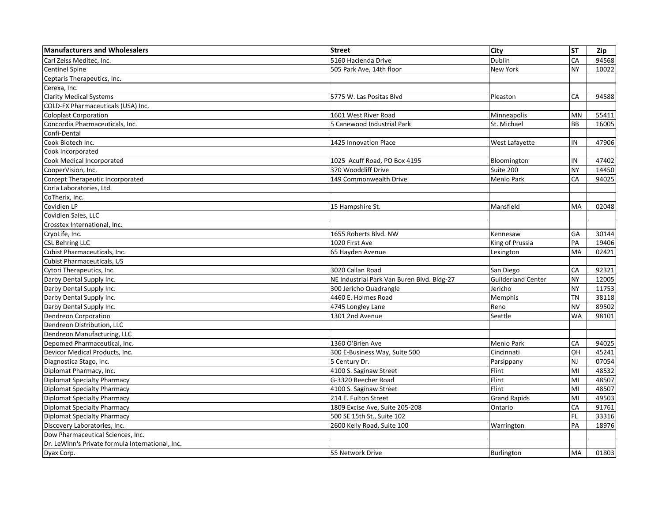| <b>Manufacturers and Wholesalers</b>             | <b>Street</b>                              | <b>City</b>               | <b>ST</b> | Zip   |
|--------------------------------------------------|--------------------------------------------|---------------------------|-----------|-------|
| Carl Zeiss Meditec. Inc.                         | 5160 Hacienda Drive                        | Dublin                    | CA        | 94568 |
| <b>Centinel Spine</b>                            | 505 Park Ave, 14th floor                   | New York                  | <b>NY</b> | 10022 |
| Ceptaris Therapeutics, Inc.                      |                                            |                           |           |       |
| Cerexa, Inc.                                     |                                            |                           |           |       |
| <b>Clarity Medical Systems</b>                   | 5775 W. Las Positas Blvd                   | Pleaston                  | CA        | 94588 |
| COLD-FX Pharmaceuticals (USA) Inc.               |                                            |                           |           |       |
| <b>Coloplast Corporation</b>                     | 1601 West River Road                       | Minneapolis               | MN        | 55411 |
| Concordia Pharmaceuticals, Inc.                  | 5 Canewood Industrial Park                 | St. Michael               | <b>BB</b> | 16005 |
| Confi-Dental                                     |                                            |                           |           |       |
| Cook Biotech Inc.                                | 1425 Innovation Place                      | West Lafayette            | IN        | 47906 |
| Cook Incorporated                                |                                            |                           |           |       |
| Cook Medical Incorporated                        | 1025 Acuff Road, PO Box 4195               | Bloomington               | IN        | 47402 |
| CooperVision, Inc.                               | 370 Woodcliff Drive                        | Suite 200                 | <b>NY</b> | 14450 |
| Corcept Therapeutic Incorporated                 | 149 Commonwealth Drive                     | Menlo Park                | CA        | 94025 |
| Coria Laboratories, Ltd.                         |                                            |                           |           |       |
| CoTherix, Inc.                                   |                                            |                           |           |       |
| Covidien LP                                      | 15 Hampshire St.                           | Mansfield                 | <b>MA</b> | 02048 |
| Covidien Sales, LLC                              |                                            |                           |           |       |
| Crosstex International, Inc.                     |                                            |                           |           |       |
| CryoLife, Inc.                                   | 1655 Roberts Blvd. NW                      | Kennesaw                  | GA        | 30144 |
| <b>CSL Behring LLC</b>                           | 1020 First Ave                             | King of Prussia           | PA        | 19406 |
| Cubist Pharmaceuticals, Inc.                     | 65 Hayden Avenue                           | Lexington                 | MA        | 02421 |
| <b>Cubist Pharmaceuticals, US</b>                |                                            |                           |           |       |
| Cytori Therapeutics, Inc.                        | 3020 Callan Road                           | San Diego                 | CA        | 92321 |
| Darby Dental Supply Inc.                         | NE Industrial Park Van Buren Blvd. Bldg-27 | <b>Guilderland Center</b> | <b>NY</b> | 12005 |
| Darby Dental Supply Inc.                         | 300 Jericho Quadrangle                     | Jericho                   | <b>NY</b> | 11753 |
| Darby Dental Supply Inc.                         | 4460 E. Holmes Road                        | Memphis                   | <b>TN</b> | 38118 |
| Darby Dental Supply Inc.                         | 4745 Longley Lane                          | Reno                      | <b>NV</b> | 89502 |
| Dendreon Corporation                             | 1301 2nd Avenue                            | Seattle                   | <b>WA</b> | 98101 |
| Dendreon Distribution, LLC                       |                                            |                           |           |       |
| Dendreon Manufacturing, LLC                      |                                            |                           |           |       |
| Depomed Pharmaceutical, Inc.                     | 1360 O'Brien Ave                           | Menlo Park                | CA        | 94025 |
| Devicor Medical Products, Inc.                   | 300 E-Business Way, Suite 500              | Cincinnati                | OH        | 45241 |
| Diagnostica Stago, Inc.                          | 5 Century Dr.                              | Parsippany                | NJ        | 07054 |
| Diplomat Pharmacy, Inc.                          | 4100 S. Saginaw Street                     | Flint                     | MI        | 48532 |
| <b>Diplomat Specialty Pharmacy</b>               | G-3320 Beecher Road                        | Flint                     | MI        | 48507 |
| <b>Diplomat Specialty Pharmacy</b>               | 4100 S. Saginaw Street                     | Flint                     | MI        | 48507 |
| <b>Diplomat Specialty Pharmacy</b>               | 214 E. Fulton Street                       | <b>Grand Rapids</b>       | MI        | 49503 |
| <b>Diplomat Specialty Pharmacy</b>               | 1809 Excise Ave, Suite 205-208             | Ontario                   | CA        | 91761 |
| <b>Diplomat Specialty Pharmacy</b>               | 500 SE 15th St., Suite 102                 |                           | <b>FL</b> | 33316 |
| Discovery Laboratories, Inc.                     | 2600 Kelly Road, Suite 100                 | Warrington                | PA        | 18976 |
| Dow Pharmaceutical Sciences, Inc.                |                                            |                           |           |       |
| Dr. LeWinn's Private formula International, Inc. |                                            |                           |           |       |
| Dyax Corp.                                       | 55 Network Drive                           | <b>Burlington</b>         | <b>MA</b> | 01803 |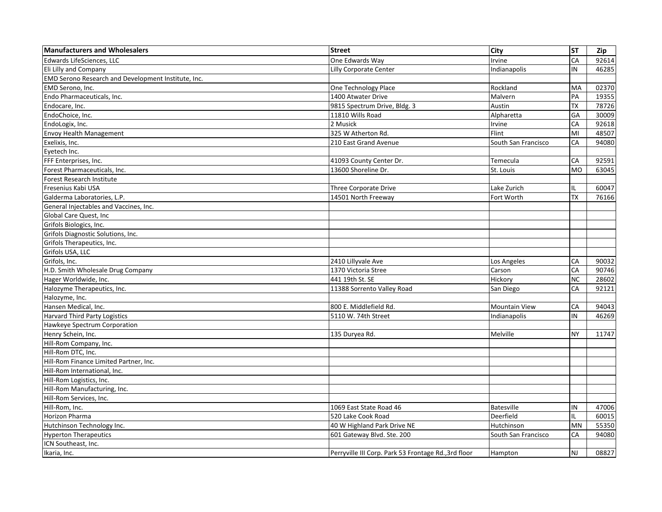| <b>Manufacturers and Wholesalers</b>                | <b>Street</b>                                        | City                 | <b>ST</b> | Zip   |
|-----------------------------------------------------|------------------------------------------------------|----------------------|-----------|-------|
| <b>Edwards LifeSciences. LLC</b>                    | One Edwards Way                                      | Irvine               | CA        | 92614 |
| Eli Lilly and Company                               | <b>Lilly Corporate Center</b>                        | Indianapolis         | IN        | 46285 |
| EMD Serono Research and Development Institute, Inc. |                                                      |                      |           |       |
| EMD Serono, Inc.                                    | One Technology Place                                 | Rockland             | MA        | 02370 |
| Endo Pharmaceuticals, Inc.                          | 1400 Atwater Drive                                   | Malvern              | PA        | 19355 |
| Endocare, Inc.                                      | 9815 Spectrum Drive, Bldg. 3                         | Austin               | <b>TX</b> | 78726 |
| EndoChoice, Inc.                                    | 11810 Wills Road                                     | Alpharetta           | GA        | 30009 |
| EndoLogix, Inc.                                     | 2 Musick                                             | Irvine               | CA        | 92618 |
| Envoy Health Management                             | 325 W Atherton Rd.                                   | Flint                | MI        | 48507 |
| Exelixis, Inc.                                      | 210 East Grand Avenue                                | South San Francisco  | CA        | 94080 |
| Eyetech Inc.                                        |                                                      |                      |           |       |
| FFF Enterprises, Inc.                               | 41093 County Center Dr.                              | Temecula             | CA        | 92591 |
| Forest Pharmaceuticals, Inc.                        | 13600 Shoreline Dr.                                  | St. Louis            | <b>MO</b> | 63045 |
| <b>Forest Research Institute</b>                    |                                                      |                      |           |       |
| Fresenius Kabi USA                                  | Three Corporate Drive                                | Lake Zurich          |           | 60047 |
| Galderma Laboratories, L.P.                         | 14501 North Freeway                                  | Fort Worth           | <b>TX</b> | 76166 |
| General Injectables and Vaccines, Inc.              |                                                      |                      |           |       |
| Global Care Quest, Inc                              |                                                      |                      |           |       |
| Grifols Biologics, Inc.                             |                                                      |                      |           |       |
| Grifols Diagnostic Solutions, Inc.                  |                                                      |                      |           |       |
| Grifols Therapeutics, Inc.                          |                                                      |                      |           |       |
| Grifols USA, LLC                                    |                                                      |                      |           |       |
| Grifols, Inc.                                       | 2410 Lillyvale Ave                                   | Los Angeles          | CA        | 90032 |
| H.D. Smith Wholesale Drug Company                   | 1370 Victoria Stree                                  | Carson               | CA        | 90746 |
| Hager Worldwide, Inc.                               | 441 19th St. SE                                      | Hickory              | <b>NC</b> | 28602 |
| Halozyme Therapeutics, Inc.                         | 11388 Sorrento Valley Road                           | San Diego            | CA        | 92121 |
| Halozyme, Inc.                                      |                                                      |                      |           |       |
| Hansen Medical, Inc.                                | 800 E. Middlefield Rd.                               | <b>Mountain View</b> | CA        | 94043 |
| <b>Harvard Third Party Logistics</b>                | 5110 W. 74th Street                                  | Indianapolis         | IN        | 46269 |
| Hawkeye Spectrum Corporation                        |                                                      |                      |           |       |
| Henry Schein, Inc.                                  | 135 Duryea Rd.                                       | Melville             | <b>NY</b> | 11747 |
| Hill-Rom Company, Inc.                              |                                                      |                      |           |       |
| Hill-Rom DTC, Inc.                                  |                                                      |                      |           |       |
| Hill-Rom Finance Limited Partner, Inc.              |                                                      |                      |           |       |
| Hill-Rom International, Inc.                        |                                                      |                      |           |       |
| Hill-Rom Logistics, Inc.                            |                                                      |                      |           |       |
| Hill-Rom Manufacturing, Inc.                        |                                                      |                      |           |       |
| Hill-Rom Services, Inc.                             |                                                      |                      |           |       |
| Hill-Rom, Inc.                                      | 1069 East State Road 46                              | <b>Batesville</b>    | IN        | 47006 |
| Horizon Pharma                                      | 520 Lake Cook Road                                   | Deerfield            |           | 60015 |
| Hutchinson Technology Inc.                          | 40 W Highland Park Drive NE                          | Hutchinson           | MN        | 55350 |
| <b>Hyperton Therapeutics</b>                        | 601 Gateway Blvd. Ste. 200                           | South San Francisco  | CA        | 94080 |
| ICN Southeast, Inc.                                 |                                                      |                      |           |       |
| Ikaria, Inc.                                        | Perryville III Corp. Park 53 Frontage Rd., 3rd floor | Hampton              | <b>NJ</b> | 08827 |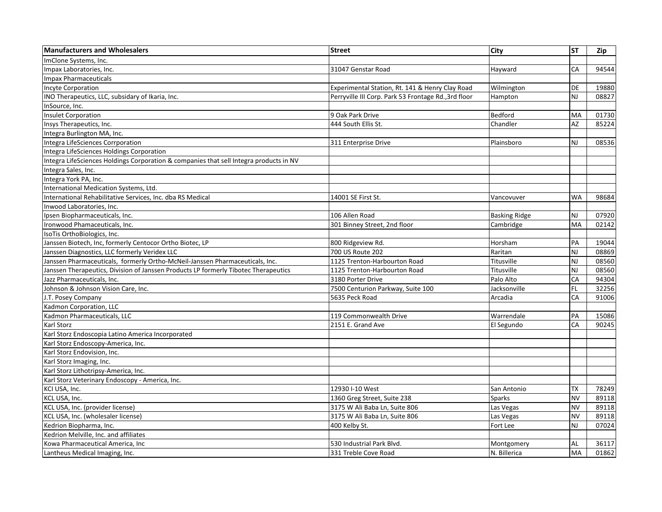| <b>Manufacturers and Wholesalers</b>                                                   | <b>Street</b>                                        | City                 | ST        | Zip   |
|----------------------------------------------------------------------------------------|------------------------------------------------------|----------------------|-----------|-------|
| ImClone Systems, Inc.                                                                  |                                                      |                      |           |       |
| Impax Laboratories, Inc.                                                               | 31047 Genstar Road                                   | Hayward              | CA        | 94544 |
| <b>Impax Pharmaceuticals</b>                                                           |                                                      |                      |           |       |
| <b>Incyte Corporation</b>                                                              | Experimental Station, Rt. 141 & Henry Clay Road      | Wilmington           | DE        | 19880 |
| INO Therapeutics, LLC, subsidary of Ikaria, Inc.                                       | Perryville III Corp. Park 53 Frontage Rd., 3rd floor | Hampton              | NJ        | 08827 |
| InSource, Inc.                                                                         |                                                      |                      |           |       |
| <b>Insulet Corporation</b>                                                             | 9 Oak Park Drive                                     | Bedford              | MA        | 01730 |
| Insys Therapeutics, Inc.                                                               | 444 South Ellis St.                                  | Chandler             | <b>AZ</b> | 85224 |
| Integra Burlington MA, Inc.                                                            |                                                      |                      |           |       |
| Integra LifeSciences Corrporation                                                      | 311 Enterprise Drive                                 | Plainsboro           | NJ        | 08536 |
| Integra LifeSciences Holdings Corporation                                              |                                                      |                      |           |       |
| Integra LifeSciences Holdings Corporation & companies that sell Integra products in NV |                                                      |                      |           |       |
| Integra Sales, Inc.                                                                    |                                                      |                      |           |       |
| Integra York PA, Inc.                                                                  |                                                      |                      |           |       |
| International Medication Systems, Ltd.                                                 |                                                      |                      |           |       |
| International Rehabilitative Services, Inc. dba RS Medical                             | 14001 SE First St.                                   | Vancovuver           | <b>WA</b> | 98684 |
| Inwood Laboratories, Inc.                                                              |                                                      |                      |           |       |
| Ipsen Biopharmaceuticals, Inc.                                                         | 106 Allen Road                                       | <b>Basking Ridge</b> | <b>NJ</b> | 07920 |
| Ironwood Phamaceuticals, Inc.                                                          | 301 Binney Street, 2nd floor                         | Cambridge            | <b>MA</b> | 02142 |
| IsoTis OrthoBiologics, Inc.                                                            |                                                      |                      |           |       |
| Janssen Biotech, Inc, formerly Centocor Ortho Biotec, LP                               | 800 Ridgeview Rd.                                    | Horsham              | PA        | 19044 |
| Janssen Diagnostics, LLC formerly Veridex LLC                                          | 700 US Route 202                                     | Raritan              | NJ        | 08869 |
| Janssen Pharmaceuticals, formerly Ortho-McNeil-Janssen Pharmaceuticals, Inc.           | 1125 Trenton-Harbourton Road                         | Titusville           | NJ        | 08560 |
| Janssen Therapeutics, Division of Janssen Products LP formerly Tibotec Therapeutics    | 1125 Trenton-Harbourton Road                         | Titusville           | NJ        | 08560 |
| Jazz Pharmaceuticals, Inc.                                                             | 3180 Porter Drive                                    | Palo Alto            | CA        | 94304 |
| Johnson & Johnson Vision Care, Inc.                                                    | 7500 Centurion Parkway, Suite 100                    | Jacksonville         | FL.       | 32256 |
| J.T. Posey Company                                                                     | 5635 Peck Road                                       | Arcadia              | CA        | 91006 |
| Kadmon Corporation, LLC                                                                |                                                      |                      |           |       |
| Kadmon Pharmaceuticals, LLC                                                            | 119 Commonwealth Drive                               | Warrendale           | PA        | 15086 |
| Karl Storz                                                                             | 2151 E. Grand Ave                                    | El Segundo           | CA        | 90245 |
| Karl Storz Endoscopia Latino America Incorporated                                      |                                                      |                      |           |       |
| Karl Storz Endoscopy-America, Inc.                                                     |                                                      |                      |           |       |
| Karl Storz Endovision, Inc.                                                            |                                                      |                      |           |       |
| Karl Storz Imaging, Inc.                                                               |                                                      |                      |           |       |
| Karl Storz Lithotripsy-America, Inc.                                                   |                                                      |                      |           |       |
| Karl Storz Veterinary Endoscopy - America, Inc.                                        |                                                      |                      |           |       |
| KCI USA, Inc.                                                                          | 12930 I-10 West                                      | San Antonio          | <b>TX</b> | 78249 |
| KCL USA, Inc.                                                                          | 1360 Greg Street, Suite 238                          | Sparks               | <b>NV</b> | 89118 |
| KCL USA, Inc. (provider license)                                                       | 3175 W Ali Baba Ln, Suite 806                        | Las Vegas            | <b>NV</b> | 89118 |
| KCL USA, Inc. (wholesaler license)                                                     | 3175 W Ali Baba Ln, Suite 806                        | Las Vegas            | <b>NV</b> | 89118 |
| Kedrion Biopharma, Inc.                                                                | 400 Kelby St.                                        | Fort Lee             | NJ        | 07024 |
| Kedrion Melville, Inc. and affiliates                                                  |                                                      |                      |           |       |
| Kowa Pharmaceutical America, Inc                                                       | 530 Industrial Park Blvd.                            | Montgomery           | AL        | 36117 |
| Lantheus Medical Imaging, Inc.                                                         | 331 Treble Cove Road                                 | N. Billerica         | <b>MA</b> | 01862 |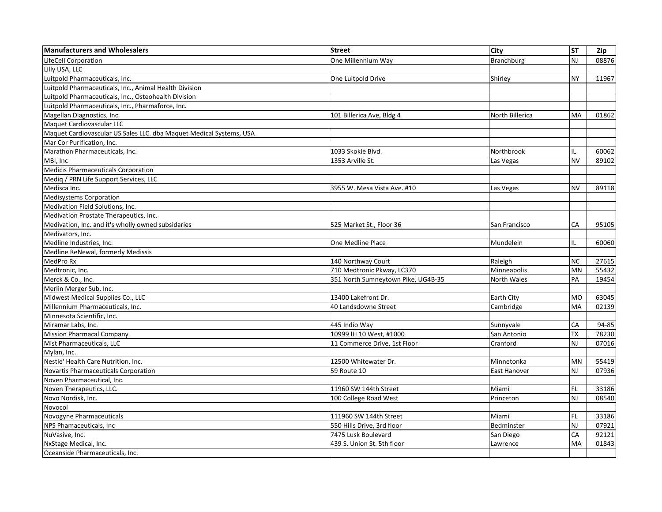| <b>Manufacturers and Wholesalers</b>                                | <b>Street</b>                      | <b>City</b>         | <b>ST</b>      | Zip   |
|---------------------------------------------------------------------|------------------------------------|---------------------|----------------|-------|
| <b>LifeCell Corporation</b>                                         | One Millennium Way                 | Branchburg          | <b>NJ</b>      | 08876 |
| Lilly USA, LLC                                                      |                                    |                     |                |       |
| Luitpold Pharmaceuticals, Inc.                                      | One Luitpold Drive                 | Shirley             | <b>NY</b>      | 11967 |
| Luitpold Pharmaceuticals, Inc., Animal Health Division              |                                    |                     |                |       |
| Luitpold Pharmaceuticals, Inc., Osteohealth Division                |                                    |                     |                |       |
| Luitpold Pharmaceuticals, Inc., Pharmaforce, Inc.                   |                                    |                     |                |       |
| Magellan Diagnostics, Inc.                                          | 101 Billerica Ave, Bldg 4          | North Billerica     | MA             | 01862 |
| Maquet Cardiovascular LLC                                           |                                    |                     |                |       |
| Maquet Cardiovascular US Sales LLC. dba Maquet Medical Systems, USA |                                    |                     |                |       |
| Mar Cor Purification, Inc.                                          |                                    |                     |                |       |
| Marathon Pharmaceuticals, Inc.                                      | 1033 Skokie Blvd.                  | Northbrook          | IL             | 60062 |
| MBI, Inc                                                            | 1353 Arville St.                   | Las Vegas           | <b>NV</b>      | 89102 |
| Medicis Pharmaceuticals Corporation                                 |                                    |                     |                |       |
| Medig / PRN Life Support Services, LLC                              |                                    |                     |                |       |
| Medisca Inc.                                                        | 3955 W. Mesa Vista Ave. #10        | Las Vegas           | <b>NV</b>      | 89118 |
| Medisystems Corporation                                             |                                    |                     |                |       |
| Medivation Field Solutions, Inc.                                    |                                    |                     |                |       |
| Medivation Prostate Therapeutics, Inc.                              |                                    |                     |                |       |
| Medivation, Inc. and it's wholly owned subsidaries                  | 525 Market St., Floor 36           | San Francisco       | CA             | 95105 |
| Medivators, Inc.                                                    |                                    |                     |                |       |
| Medline Industries, Inc.                                            | One Medline Place                  | Mundelein           | IL             | 60060 |
| Medline ReNewal, formerly Medissis                                  |                                    |                     |                |       |
| MedPro Rx                                                           | 140 Northway Court                 | Raleigh             | <b>NC</b>      | 27615 |
| Medtronic, Inc.                                                     | 710 Medtronic Pkway, LC370         | Minneapolis         | MN             | 55432 |
| Merck & Co., Inc.                                                   | 351 North Sumneytown Pike, UG4B-35 | North Wales         | PA             | 19454 |
| Merlin Merger Sub, Inc.                                             |                                    |                     |                |       |
| Midwest Medical Supplies Co., LLC                                   | 13400 Lakefront Dr.                | <b>Earth City</b>   | <b>MO</b>      | 63045 |
| Millennium Pharmaceuticals, Inc.                                    | 40 Landsdowne Street               | Cambridge           | MA             | 02139 |
| Minnesota Scientific, Inc.                                          |                                    |                     |                |       |
| Miramar Labs. Inc.                                                  | 445 Indio Way                      | Sunnyvale           | CA             | 94-85 |
| <b>Mission Pharmacal Company</b>                                    | 10999 IH 10 West, #1000            | San Antonio         | <b>TX</b>      | 78230 |
| Mist Pharmaceuticals, LLC                                           | 11 Commerce Drive, 1st Floor       | Cranford            | <b>NJ</b>      | 07016 |
| Mylan, Inc.                                                         |                                    |                     |                |       |
| Nestle' Health Care Nutrition, Inc.                                 | 12500 Whitewater Dr.               | Minnetonka          | MN             | 55419 |
| Novartis Pharmaceuticals Corporation                                | 59 Route 10                        | <b>East Hanover</b> | <b>NJ</b>      | 07936 |
| Noven Pharmaceutical, Inc.                                          |                                    |                     |                |       |
| Noven Therapeutics, LLC.                                            | 11960 SW 144th Street              | Miami               | FL             | 33186 |
| Novo Nordisk, Inc.                                                  | 100 College Road West              | Princeton           | N <sub>J</sub> | 08540 |
| Novocol                                                             |                                    |                     |                |       |
| Novogyne Pharmaceuticals                                            | 111960 SW 144th Street             | Miami               | FL.            | 33186 |
| NPS Phamaceuticals, Inc                                             | 550 Hills Drive, 3rd floor         | Bedminster          | NJ             | 07921 |
| NuVasive, Inc.                                                      | 7475 Lusk Boulevard                | San Diego           | CA             | 92121 |
| NxStage Medical, Inc.                                               | 439 S. Union St. 5th floor         | Lawrence            | MA             | 01843 |
| Oceanside Pharmaceuticals. Inc.                                     |                                    |                     |                |       |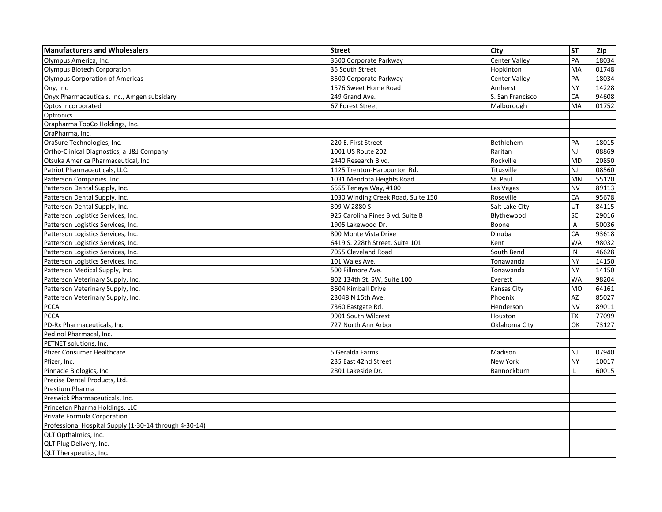| <b>Manufacturers and Wholesalers</b>                   | <b>Street</b>                      | City                 | <b>ST</b>      | Zip   |
|--------------------------------------------------------|------------------------------------|----------------------|----------------|-------|
| Olympus America, Inc.                                  | 3500 Corporate Parkway             | <b>Center Valley</b> | PA             | 18034 |
| <b>Olympus Biotech Corporation</b>                     | 35 South Street                    | Hopkinton            | <b>MA</b>      | 01748 |
| <b>Olympus Corporation of Americas</b>                 | 3500 Corporate Parkway             | <b>Center Valley</b> | PA             | 18034 |
| Ony, Inc                                               | 1576 Sweet Home Road               | Amherst              | <b>NY</b>      | 14228 |
| Onyx Pharmaceuticals. Inc., Amgen subsidary            | 249 Grand Ave.                     | S. San Francisco     | CA             | 94608 |
| Optos Incorporated                                     | 67 Forest Street                   | Malborough           | MA             | 01752 |
| Optronics                                              |                                    |                      |                |       |
| Orapharma TopCo Holdings, Inc.                         |                                    |                      |                |       |
| OraPharma, Inc.                                        |                                    |                      |                |       |
| OraSure Technologies, Inc.                             | 220 E. First Street                | Bethlehem            | PA             | 18015 |
| Ortho-Clinical Diagnostics, a J&J Company              | 1001 US Route 202                  | Raritan              | N <sub>J</sub> | 08869 |
| Otsuka America Pharmaceutical, Inc.                    | 2440 Research Blvd.                | Rockville            | <b>MD</b>      | 20850 |
| Patriot Pharmaceuticals, LLC.                          | 1125 Trenton-Harbourton Rd.        | Titusville           | N <sub>J</sub> | 08560 |
| Patterson Companies. Inc.                              | 1031 Mendota Heights Road          | St. Paul             | <b>MN</b>      | 55120 |
| Patterson Dental Supply, Inc.                          | 6555 Tenaya Way, #100              | Las Vegas            | <b>NV</b>      | 89113 |
| Patterson Dental Supply, Inc.                          | 1030 Winding Creek Road, Suite 150 | Roseville            | CA             | 95678 |
| Patterson Dental Supply, Inc.                          | 309 W 2880 S                       | Salt Lake City       | UT             | 84115 |
| Patterson Logistics Services, Inc.                     | 925 Carolina Pines Blvd, Suite B   | Blythewood           | SC             | 29016 |
| Patterson Logistics Services, Inc.                     | 1905 Lakewood Dr.                  | Boone                | IA             | 50036 |
| Patterson Logistics Services, Inc.                     | 800 Monte Vista Drive              | Dinuba               | CA             | 93618 |
| Patterson Logistics Services, Inc.                     | 6419 S. 228th Street, Suite 101    | Kent                 | <b>WA</b>      | 98032 |
| Patterson Logistics Services, Inc.                     | 7055 Cleveland Road                | South Bend           | IN             | 46628 |
| Patterson Logistics Services, Inc.                     | 101 Wales Ave.                     | Tonawanda            | <b>NY</b>      | 14150 |
| Patterson Medical Supply, Inc.                         | 500 Fillmore Ave.                  | Tonawanda            | <b>NY</b>      | 14150 |
| Patterson Veterinary Supply, Inc.                      | 802 134th St. SW, Suite 100        | Everett              | <b>WA</b>      | 98204 |
| Patterson Veterinary Supply, Inc.                      | 3604 Kimball Drive                 | <b>Kansas City</b>   | <b>MO</b>      | 64161 |
| Patterson Veterinary Supply, Inc.                      | 23048 N 15th Ave.                  | Phoenix              | AZ             | 85027 |
| PCCA                                                   | 7360 Eastgate Rd.                  | Henderson            | <b>NV</b>      | 89011 |
| <b>PCCA</b>                                            | 9901 South Wilcrest                | Houston              | <b>TX</b>      | 77099 |
| PD-Rx Pharmaceuticals, Inc.                            | 727 North Ann Arbor                | Oklahoma City        | OK             | 73127 |
| Pedinol Pharmacal, Inc.                                |                                    |                      |                |       |
| PETNET solutions, Inc.                                 |                                    |                      |                |       |
| Pfizer Consumer Healthcare                             | 5 Geralda Farms                    | Madison              | N <sub>J</sub> | 07940 |
| Pfizer, Inc.                                           | 235 East 42nd Street               | New York             | <b>NY</b>      | 10017 |
| Pinnacle Biologics, Inc.                               | 2801 Lakeside Dr.                  | Bannockburn          | IL             | 60015 |
| Precise Dental Products, Ltd.                          |                                    |                      |                |       |
| Prestium Pharma                                        |                                    |                      |                |       |
| Preswick Pharmaceuticals, Inc.                         |                                    |                      |                |       |
| Princeton Pharma Holdings, LLC                         |                                    |                      |                |       |
| Private Formula Corporation                            |                                    |                      |                |       |
| Professional Hospital Supply (1-30-14 through 4-30-14) |                                    |                      |                |       |
| QLT Opthalmics, Inc.                                   |                                    |                      |                |       |
| QLT Plug Delivery, Inc.                                |                                    |                      |                |       |
| QLT Therapeutics, Inc.                                 |                                    |                      |                |       |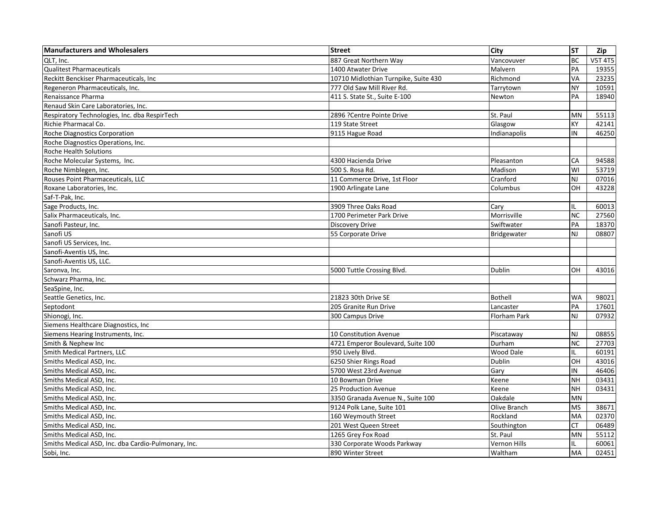| <b>Manufacturers and Wholesalers</b>                | <b>Street</b>                        | <b>City</b>         | <b>ST</b>      | Zip            |
|-----------------------------------------------------|--------------------------------------|---------------------|----------------|----------------|
| QLT, Inc.                                           | 887 Great Northern Way               | Vancovuver          | <b>BC</b>      | <b>V5T 4T5</b> |
| <b>Qualitest Pharmaceuticals</b>                    | 1400 Atwater Drive                   | Malvern             | PA             | 19355          |
| Reckitt Benckiser Pharmaceuticals, Inc              | 10710 Midlothian Turnpike, Suite 430 | Richmond            | VA             | 23235          |
| Regeneron Pharmaceuticals, Inc.                     | 777 Old Saw Mill River Rd.           | Tarrytown           | <b>NY</b>      | 10591          |
| Renaissance Pharma                                  | 411 S. State St., Suite E-100        | Newton              | PA             | 18940          |
| Renaud Skin Care Laboratories, Inc.                 |                                      |                     |                |                |
| Respiratory Technologies, Inc. dba RespirTech       | 2896 ?Centre Pointe Drive            | St. Paul            | MN             | 55113          |
| Richie Pharmacal Co.                                | 119 State Street                     | Glasgow             | KY             | 42141          |
| Roche Diagnostics Corporation                       | 9115 Hague Road                      | Indianapolis        | IN             | 46250          |
| Roche Diagnostics Operations, Inc.                  |                                      |                     |                |                |
| Roche Health Solutions                              |                                      |                     |                |                |
| Roche Molecular Systems, Inc.                       | 4300 Hacienda Drive                  | Pleasanton          | CA             | 94588          |
| Roche Nimblegen, Inc.                               | 500 S. Rosa Rd.                      | Madison             | WI             | 53719          |
| Rouses Point Pharmaceuticals, LLC                   | 11 Commerce Drive, 1st Floor         | Cranford            | <b>NJ</b>      | 07016          |
| Roxane Laboratories, Inc.                           | 1900 Arlingate Lane                  | Columbus            | OН             | 43228          |
| Saf-T-Pak, Inc.                                     |                                      |                     |                |                |
| Sage Products, Inc.                                 | 3909 Three Oaks Road                 | Cary                | IL             | 60013          |
| Salix Pharmaceuticals, Inc.                         | 1700 Perimeter Park Drive            | Morrisville         | <b>NC</b>      | 27560          |
| Sanofi Pasteur. Inc.                                | <b>Discovery Drive</b>               | Swiftwater          | PA             | 18370          |
| Sanofi US                                           | 55 Corporate Drive                   | Bridgewater         | NJ             | 08807          |
| Sanofi US Services, Inc.                            |                                      |                     |                |                |
| Sanofi-Aventis US, Inc.                             |                                      |                     |                |                |
| Sanofi-Aventis US, LLC.                             |                                      |                     |                |                |
| Saronva, Inc.                                       | 5000 Tuttle Crossing Blvd.           | <b>Dublin</b>       | OН             | 43016          |
| Schwarz Pharma, Inc.                                |                                      |                     |                |                |
| SeaSpine, Inc.                                      |                                      |                     |                |                |
| Seattle Genetics, Inc.                              | 21823 30th Drive SE                  | Bothell             | <b>WA</b>      | 98021          |
| Septodont                                           | 205 Granite Run Drive                | Lancaster           | PA             | 17601          |
| Shionogi, Inc.                                      | 300 Campus Drive                     | <b>Florham Park</b> | N <sub>J</sub> | 07932          |
| Siemens Healthcare Diagnostics, Inc                 |                                      |                     |                |                |
| Siemens Hearing Instruments, Inc.                   | 10 Constitution Avenue               | Piscataway          | NJ             | 08855          |
| Smith & Nephew Inc                                  | 4721 Emperor Boulevard, Suite 100    | Durham              | <b>NC</b>      | 27703          |
| Smith Medical Partners, LLC                         | 950 Lively Blvd.                     | Wood Dale           | IL             | 60191          |
| Smiths Medical ASD, Inc.                            | 6250 Shier Rings Road                | Dublin              | OН             | 43016          |
| Smiths Medical ASD, Inc.                            | 5700 West 23rd Avenue                | Gary                | IN             | 46406          |
| Smiths Medical ASD. Inc.                            | 10 Bowman Drive                      | Keene               | <b>NH</b>      | 03431          |
| Smiths Medical ASD, Inc.                            | 25 Production Avenue                 | Keene               | <b>NH</b>      | 03431          |
| Smiths Medical ASD, Inc.                            | 3350 Granada Avenue N., Suite 100    | Oakdale             | MN             |                |
| Smiths Medical ASD, Inc.                            | 9124 Polk Lane, Suite 101            | Olive Branch        | <b>MS</b>      | 38671          |
| Smiths Medical ASD, Inc.                            | 160 Weymouth Street                  | Rockland            | MA             | 02370          |
| Smiths Medical ASD, Inc.                            | 201 West Queen Street                | Southington         | СT             | 06489          |
| Smiths Medical ASD. Inc.                            | 1265 Grey Fox Road                   | St. Paul            | MN             | 55112          |
| Smiths Medical ASD, Inc. dba Cardio-Pulmonary, Inc. | 330 Corporate Woods Parkway          | Vernon Hills        | IL             | 60061          |
| Sobi, Inc.                                          | 890 Winter Street                    | Waltham             | <b>MA</b>      | 02451          |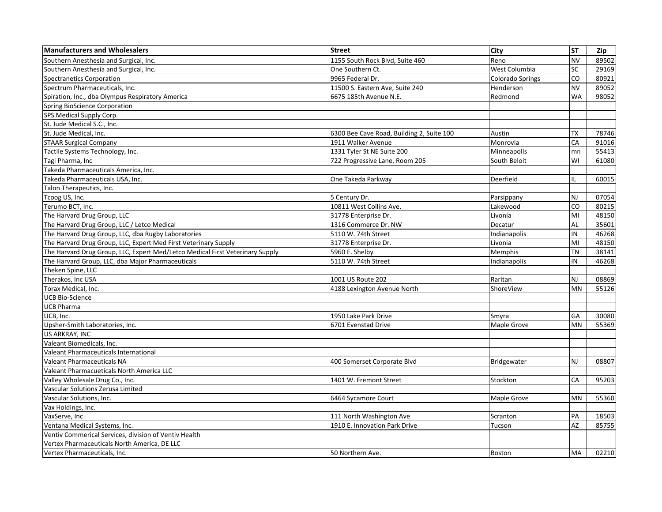| <b>Manufacturers and Wholesalers</b>                                          | <b>Street</b>                             | City             | <b>ST</b>      | Zip   |
|-------------------------------------------------------------------------------|-------------------------------------------|------------------|----------------|-------|
| Southern Anesthesia and Surgical, Inc.                                        | 1155 South Rock Blvd. Suite 460           | Reno             | <b>NV</b>      | 89502 |
| Southern Anesthesia and Surgical, Inc.                                        | One Southern Ct.                          | West Columbia    | <b>SC</b>      | 29169 |
| <b>Spectranetics Corporation</b>                                              | 9965 Federal Dr.                          | Colorado Springs | CO             | 80921 |
| Spectrum Pharmaceuticals, Inc.                                                | 11500 S. Eastern Ave, Suite 240           | Henderson        | <b>NV</b>      | 89052 |
| Spiration, Inc., dba Olympus Respiratory America                              | 6675 185th Avenue N.E.                    | Redmond          | <b>WA</b>      | 98052 |
| Spring BioScience Corporation                                                 |                                           |                  |                |       |
| SPS Medical Supply Corp.                                                      |                                           |                  |                |       |
| St. Jude Medical S.C., Inc.                                                   |                                           |                  |                |       |
| St. Jude Medical, Inc.                                                        | 6300 Bee Cave Road, Building 2, Suite 100 | Austin           | ТX             | 78746 |
| <b>STAAR Surgical Company</b>                                                 | 1911 Walker Avenue                        | Monrovia         | CA             | 91016 |
| Tactile Systems Technology, Inc.                                              | 1331 Tyler St NE Suite 200                | Minneapolis      | mn             | 55413 |
| Tagi Pharma, Inc                                                              | 722 Progressive Lane, Room 205            | South Beloit     | WI             | 61080 |
| Takeda Pharmaceuticals America, Inc.                                          |                                           |                  |                |       |
| Takeda Pharmaceuticals USA. Inc.                                              | One Takeda Parkway                        | Deerfield        | IL             | 60015 |
| Talon Therapeutics, Inc.                                                      |                                           |                  |                |       |
| Tcoog US, Inc.                                                                | 5 Century Dr.                             | Parsippany       | <b>NJ</b>      | 07054 |
| Terumo BCT, Inc.                                                              | 10811 West Collins Ave.                   | Lakewood         | C <sub>O</sub> | 80215 |
| The Harvard Drug Group, LLC                                                   | 31778 Enterprise Dr.                      | Livonia          | MI             | 48150 |
| The Harvard Drug Group, LLC / Letco Medical                                   | 1316 Commerce Dr. NW                      | Decatur          | AL             | 35601 |
| The Harvard Drug Group, LLC, dba Rugby Laboratories                           | 5110 W. 74th Street                       | Indianapolis     | IN             | 46268 |
| The Harvard Drug Group, LLC, Expert Med First Veterinary Supply               | 31778 Enterprise Dr.                      | Livonia          | MI             | 48150 |
| The Harvard Drug Group, LLC, Expert Med/Letco Medical First Veterinary Supply | 5960 E. Shelby                            | Memphis          | TN             | 38141 |
| The Harvard Group, LLC, dba Major Pharmaceuticals                             | 5110 W. 74th Street                       | Indianapolis     | IN             | 46268 |
| Theken Spine, LLC                                                             |                                           |                  |                |       |
| Therakos, Inc USA                                                             | 1001 US Route 202                         | Raritan          | NJ             | 08869 |
| Torax Medical, Inc.                                                           | 4188 Lexington Avenue North               | ShoreView        | <b>MN</b>      | 55126 |
| <b>UCB Bio-Science</b>                                                        |                                           |                  |                |       |
| <b>UCB Pharma</b>                                                             |                                           |                  |                |       |
| UCB, Inc.                                                                     | 1950 Lake Park Drive                      | Smyra            | GA             | 30080 |
| Upsher-Smith Laboratories, Inc.                                               | 6701 Evenstad Drive                       | Maple Grove      | <b>MN</b>      | 55369 |
| US ARKRAY, INC                                                                |                                           |                  |                |       |
| Valeant Biomedicals, Inc.                                                     |                                           |                  |                |       |
| Valeant Pharmaceuticals International                                         |                                           |                  |                |       |
| <b>Valeant Pharmaceuticals NA</b>                                             | 400 Somerset Corporate Blvd               | Bridgewater      | <b>NJ</b>      | 08807 |
| Valeant Pharmacueticals North America LLC                                     |                                           |                  |                |       |
| Valley Wholesale Drug Co., Inc.                                               | 1401 W. Fremont Street                    | Stockton         | CA             | 95203 |
| Vascular Solutions Zerusa Limited                                             |                                           |                  |                |       |
| Vascular Solutions, Inc.                                                      | 6464 Sycamore Court                       | Maple Grove      | <b>MN</b>      | 55360 |
| Vax Holdings, Inc.                                                            |                                           |                  |                |       |
| VaxServe, Inc                                                                 | 111 North Washington Ave                  | Scranton         | PA             | 18503 |
| Ventana Medical Systems, Inc.                                                 | 1910 E. Innovation Park Drive             | Tucson           | A7             | 85755 |
| Ventiv Commerical Services, division of Ventiv Health                         |                                           |                  |                |       |
| Vertex Pharmaceuticals North America, DE LLC                                  |                                           |                  |                |       |
| Vertex Pharmaceuticals, Inc.                                                  | 50 Northern Ave.                          | Boston           | <b>MA</b>      | 02210 |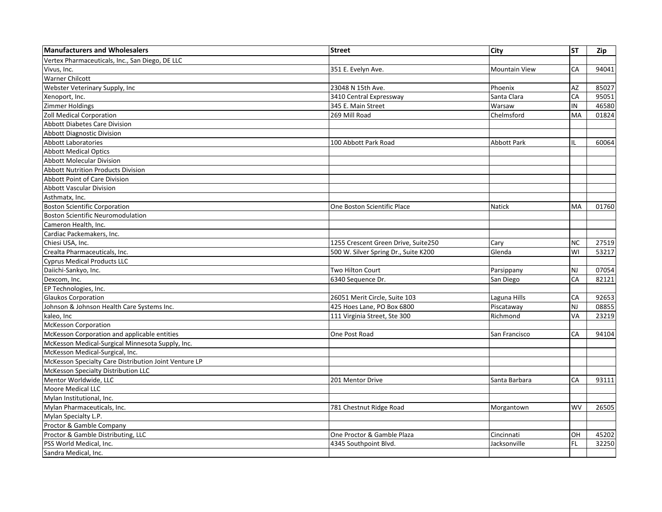| <b>Manufacturers and Wholesalers</b>                  | <b>Street</b>                        | City                 | <b>ST</b> | Zip   |
|-------------------------------------------------------|--------------------------------------|----------------------|-----------|-------|
| Vertex Pharmaceuticals, Inc., San Diego, DE LLC       |                                      |                      |           |       |
| Vivus, Inc.                                           | 351 E. Evelyn Ave.                   | <b>Mountain View</b> | CA        | 94041 |
| <b>Warner Chilcott</b>                                |                                      |                      |           |       |
| Webster Veterinary Supply, Inc                        | 23048 N 15th Ave.                    | Phoenix              | AZ        | 85027 |
| Xenoport, Inc.                                        | 3410 Central Expressway              | Santa Clara          | CA        | 95051 |
| <b>Zimmer Holdings</b>                                | 345 E. Main Street                   | Warsaw               | IN        | 46580 |
| Zoll Medical Corporation                              | 269 Mill Road                        | Chelmsford           | <b>MA</b> | 01824 |
| <b>Abbott Diabetes Care Division</b>                  |                                      |                      |           |       |
| <b>Abbott Diagnostic Division</b>                     |                                      |                      |           |       |
| <b>Abbott Laboratories</b>                            | 100 Abbott Park Road                 | Abbott Park          | IL        | 60064 |
| <b>Abbott Medical Optics</b>                          |                                      |                      |           |       |
| <b>Abbott Molecular Division</b>                      |                                      |                      |           |       |
| <b>Abbott Nutrition Products Division</b>             |                                      |                      |           |       |
| <b>Abbott Point of Care Division</b>                  |                                      |                      |           |       |
| <b>Abbott Vascular Division</b>                       |                                      |                      |           |       |
| Asthmatx, Inc.                                        |                                      |                      |           |       |
| <b>Boston Scientific Corporation</b>                  | One Boston Scientific Place          | Natick               | <b>MA</b> | 01760 |
| <b>Boston Scientific Neuromodulation</b>              |                                      |                      |           |       |
| Cameron Health, Inc.                                  |                                      |                      |           |       |
| Cardiac Packemakers, Inc.                             |                                      |                      |           |       |
| Chiesi USA, Inc.                                      | 1255 Crescent Green Drive, Suite250  | Cary                 | <b>NC</b> | 27519 |
| Crealta Pharmaceuticals, Inc.                         | 500 W. Silver Spring Dr., Suite K200 | Glenda               | WI        | 53217 |
| <b>Cyprus Medical Products LLC</b>                    |                                      |                      |           |       |
| Daiichi-Sankyo, Inc.                                  | <b>Two Hilton Court</b>              | Parsippany           | <b>NJ</b> | 07054 |
| Dexcom, Inc.                                          | 6340 Sequence Dr.                    | San Diego            | CA        | 82121 |
| EP Technologies, Inc.                                 |                                      |                      |           |       |
| <b>Glaukos Corporation</b>                            | 26051 Merit Circle, Suite 103        | Laguna Hills         | CA        | 92653 |
| Johnson & Johnson Health Care Systems Inc.            | 425 Hoes Lane, PO Box 6800           | Piscataway           | NJ        | 08855 |
| kaleo, Inc                                            | 111 Virginia Street, Ste 300         | Richmond             | VA        | 23219 |
| <b>McKesson Corporation</b>                           |                                      |                      |           |       |
| McKesson Corporation and applicable entities          | One Post Road                        | San Francisco        | CA        | 94104 |
| McKesson Medical-Surgical Minnesota Supply, Inc.      |                                      |                      |           |       |
| McKesson Medical-Surgical, Inc.                       |                                      |                      |           |       |
| McKesson Specialty Care Distribution Joint Venture LP |                                      |                      |           |       |
| McKesson Specialty Distribution LLC                   |                                      |                      |           |       |
| Mentor Worldwide, LLC                                 | 201 Mentor Drive                     | Santa Barbara        | CA        | 93111 |
| Moore Medical LLC                                     |                                      |                      |           |       |
| Mylan Institutional, Inc.                             |                                      |                      |           |       |
| Mylan Pharmaceuticals, Inc.                           | 781 Chestnut Ridge Road              | Morgantown           | <b>WV</b> | 26505 |
| Mylan Specialty L.P.                                  |                                      |                      |           |       |
| Proctor & Gamble Company                              |                                      |                      |           |       |
| Proctor & Gamble Distributing, LLC                    | One Proctor & Gamble Plaza           | Cincinnati           | OH        | 45202 |
| PSS World Medical, Inc.                               | 4345 Southpoint Blvd.                | Jacksonville         | <b>FL</b> | 32250 |
| Sandra Medical, Inc.                                  |                                      |                      |           |       |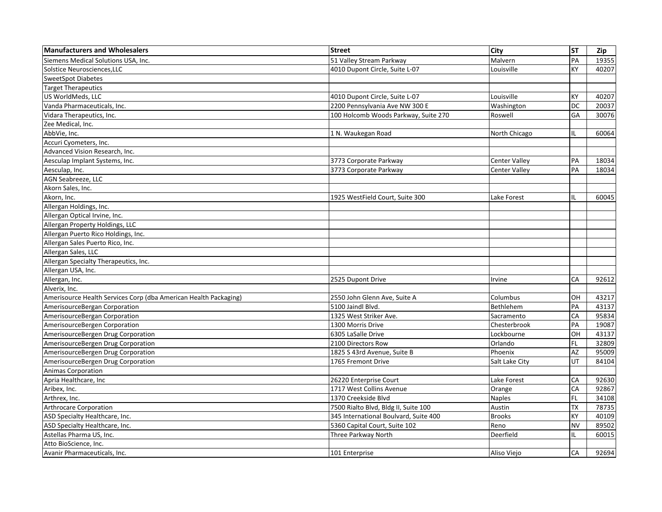| <b>Manufacturers and Wholesalers</b>                             | <b>Street</b>                         | <b>City</b>          | <b>ST</b> | Zip   |
|------------------------------------------------------------------|---------------------------------------|----------------------|-----------|-------|
| Siemens Medical Solutions USA, Inc.                              | 51 Valley Stream Parkway              | Malvern              | PA        | 19355 |
| Solstice Neurosciences, LLC                                      | 4010 Dupont Circle, Suite L-07        | Louisville           | KY        | 40207 |
| <b>SweetSpot Diabetes</b>                                        |                                       |                      |           |       |
| <b>Target Therapeutics</b>                                       |                                       |                      |           |       |
| US WorldMeds, LLC                                                | 4010 Dupont Circle, Suite L-07        | Louisville           | KY        | 40207 |
| Vanda Pharmaceuticals, Inc.                                      | 2200 Pennsylvania Ave NW 300 E        | Washington           | DC        | 20037 |
| Vidara Therapeutics, Inc.                                        | 100 Holcomb Woods Parkway, Suite 270  | Roswell              | GA        | 30076 |
| Zee Medical, Inc.                                                |                                       |                      |           |       |
| AbbVie, Inc.                                                     | 1 N. Waukegan Road                    | North Chicago        | IL        | 60064 |
| Accuri Cyometers, Inc.                                           |                                       |                      |           |       |
| Advanced Vision Research, Inc.                                   |                                       |                      |           |       |
| Aesculap Implant Systems, Inc.                                   | 3773 Corporate Parkway                | <b>Center Valley</b> | PA        | 18034 |
| Aesculap, Inc.                                                   | 3773 Corporate Parkway                | <b>Center Valley</b> | PA        | 18034 |
| AGN Seabreeze, LLC                                               |                                       |                      |           |       |
| Akorn Sales, Inc.                                                |                                       |                      |           |       |
| Akorn, Inc.                                                      | 1925 WestField Court, Suite 300       | Lake Forest          | IL        | 60045 |
| Allergan Holdings, Inc.                                          |                                       |                      |           |       |
| Allergan Optical Irvine, Inc.                                    |                                       |                      |           |       |
| Allergan Property Holdings, LLC                                  |                                       |                      |           |       |
| Allergan Puerto Rico Holdings, Inc.                              |                                       |                      |           |       |
| Allergan Sales Puerto Rico, Inc.                                 |                                       |                      |           |       |
| Allergan Sales, LLC                                              |                                       |                      |           |       |
| Allergan Specialty Therapeutics, Inc.                            |                                       |                      |           |       |
| Allergan USA, Inc.                                               |                                       |                      |           |       |
| Allergan, Inc.                                                   | 2525 Dupont Drive                     | Irvine               | CA        | 92612 |
| Alverix, Inc.                                                    |                                       |                      |           |       |
| Amerisource Health Services Corp (dba American Health Packaging) | 2550 John Glenn Ave, Suite A          | Columbus             | OН        | 43217 |
| AmerisourceBergan Corporation                                    | 5100 Jaindl Blvd.                     | Bethlehem            | PA        | 43137 |
| AmerisourceBergan Corporation                                    | 1325 West Striker Ave.                | Sacramento           | CA        | 95834 |
| AmerisourceBergen Corporation                                    | 1300 Morris Drive                     | Chesterbrook         | PA        | 19087 |
| AmerisourceBergen Drug Corporation                               | 6305 LaSalle Drive                    | Lockbourne           | OН        | 43137 |
| AmerisourceBergen Drug Corporation                               | 2100 Directors Row                    | Orlando              | FL        | 32809 |
| AmerisourceBergen Drug Corporation                               | 1825 S 43rd Avenue, Suite B           | Phoenix              | AZ        | 95009 |
| AmerisourceBergen Drug Corporation                               | 1765 Fremont Drive                    | Salt Lake City       | UT        | 84104 |
| <b>Animas Corporation</b>                                        |                                       |                      |           |       |
| Apria Healthcare, Inc                                            | 26220 Enterprise Court                | Lake Forest          | CA        | 92630 |
| Aribex, Inc.                                                     | 1717 West Collins Avenue              | Orange               | CA        | 92867 |
| Arthrex, Inc.                                                    | 1370 Creekside Blvd                   | <b>Naples</b>        | FL.       | 34108 |
| <b>Arthrocare Corporation</b>                                    | 7500 Rialto Blvd, Bldg II, Suite 100  | Austin               | <b>TX</b> | 78735 |
| ASD Specialty Healthcare, Inc.                                   | 345 International Boulvard, Suite 400 | <b>Brooks</b>        | KY        | 40109 |
| ASD Specialty Healthcare, Inc.                                   | 5360 Capital Court, Suite 102         | Reno                 | NV        | 89502 |
| Astellas Pharma US, Inc.                                         | Three Parkway North                   | Deerfield            | IL        | 60015 |
| Atto BioScience, Inc.                                            |                                       |                      |           |       |
| Avanir Pharmaceuticals, Inc.                                     | 101 Enterprise                        | Aliso Viejo          | <b>CA</b> | 92694 |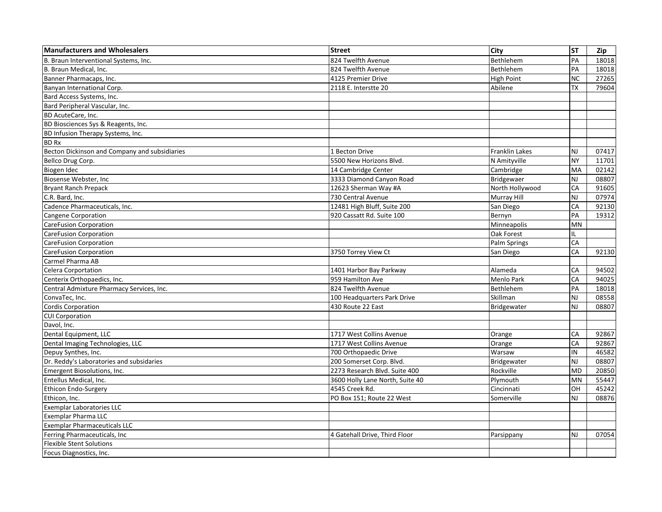| <b>Manufacturers and Wholesalers</b>          | <b>Street</b>                   | City              | <b>ST</b>      | Zip   |
|-----------------------------------------------|---------------------------------|-------------------|----------------|-------|
| B. Braun Interventional Systems, Inc.         | 824 Twelfth Avenue              | Bethlehem         | PA             | 18018 |
| B. Braun Medical, Inc.                        | 824 Twelfth Avenue              | Bethlehem         | PA             | 18018 |
| Banner Pharmacaps, Inc.                       | 4125 Premier Drive              | <b>High Point</b> | <b>NC</b>      | 27265 |
| Banyan International Corp.                    | 2118 E. Interstte 20            | Abilene           | <b>TX</b>      | 79604 |
| Bard Access Systems, Inc.                     |                                 |                   |                |       |
| Bard Peripheral Vascular, Inc.                |                                 |                   |                |       |
| <b>BD AcuteCare. Inc.</b>                     |                                 |                   |                |       |
| BD Biosciences Sys & Reagents, Inc.           |                                 |                   |                |       |
| BD Infusion Therapy Systems, Inc.             |                                 |                   |                |       |
| <b>BD Rx</b>                                  |                                 |                   |                |       |
| Becton Dickinson and Company and subsidiaries | 1 Becton Drive                  | Franklin Lakes    | N <sub>J</sub> | 07417 |
| Bellco Drug Corp.                             | 5500 New Horizons Blvd.         | N Amityville      | <b>NY</b>      | 11701 |
| Biogen Idec                                   | 14 Cambridge Center             | Cambridge         | MA             | 02142 |
| Biosense Webster, Inc                         | 3333 Diamond Canyon Road        | <b>Bridgewaer</b> | <b>NJ</b>      | 08807 |
| <b>Bryant Ranch Prepack</b>                   | 12623 Sherman Way #A            | North Hollywood   | CA             | 91605 |
| C.R. Bard, Inc.                               | 730 Central Avenue              | Murray Hill       | <b>NJ</b>      | 07974 |
| Cadence Pharmaceuticals, Inc.                 | 12481 High Bluff, Suite 200     | San Diego         | CA             | 92130 |
| Cangene Corporation                           | 920 Cassatt Rd. Suite 100       | Bernyn            | PA             | 19312 |
| <b>CareFusion Corporation</b>                 |                                 | Minneapolis       | <b>MN</b>      |       |
| <b>CareFusion Corporation</b>                 |                                 | Oak Forest        | IL             |       |
| CareFusion Corporation                        |                                 | Palm Springs      | CA             |       |
| <b>CareFusion Corporation</b>                 | 3750 Torrey View Ct             | San Diego         | CA             | 92130 |
| Carmel Pharma AB                              |                                 |                   |                |       |
| <b>Celera Corportation</b>                    | 1401 Harbor Bay Parkway         | Alameda           | CA             | 94502 |
| Centerix Orthopaedics, Inc.                   | 959 Hamilton Ave                | Menlo Park        | CA             | 94025 |
| Central Admixture Pharmacy Services, Inc.     | 824 Twelfth Avenue              | Bethlehem         | PA             | 18018 |
| ConvaTec, Inc.                                | 100 Headquarters Park Drive     | Skillman          | NJ             | 08558 |
| Cordis Corporation                            | 430 Route 22 East               | Bridgewater       | <b>NJ</b>      | 08807 |
| <b>CUI Corporation</b>                        |                                 |                   |                |       |
| Davol, Inc.                                   |                                 |                   |                |       |
| Dental Equipment, LLC                         | 1717 West Collins Avenue        | Orange            | CA             | 92867 |
| Dental Imaging Technologies, LLC              | 1717 West Collins Avenue        | Orange            | CA             | 92867 |
| Depuy Synthes, Inc.                           | 700 Orthopaedic Drive           | Warsaw            | IN             | 46582 |
| Dr. Reddy's Laboratories and subsidaries      | 200 Somerset Corp. Blvd.        | Bridgewater       | <b>NJ</b>      | 08807 |
| Emergent Biosolutions, Inc.                   | 2273 Research Blvd. Suite 400   | Rockville         | <b>MD</b>      | 20850 |
| Entellus Medical, Inc.                        | 3600 Holly Lane North, Suite 40 | Plymouth          | <b>MN</b>      | 55447 |
| Ethicon Endo-Surgery                          | 4545 Creek Rd.                  | Cincinnati        | OH             | 45242 |
| Ethicon, Inc.                                 | PO Box 151; Route 22 West       | Somerville        | <b>NJ</b>      | 08876 |
| <b>Exemplar Laboratories LLC</b>              |                                 |                   |                |       |
| Exemplar Pharma LLC                           |                                 |                   |                |       |
| <b>Exemplar Pharmaceuticals LLC</b>           |                                 |                   |                |       |
| Ferring Pharmaceuticals, Inc                  | 4 Gatehall Drive, Third Floor   | Parsippany        | N <sub>J</sub> | 07054 |
| <b>Flexible Stent Solutions</b>               |                                 |                   |                |       |
| Focus Diagnostics, Inc.                       |                                 |                   |                |       |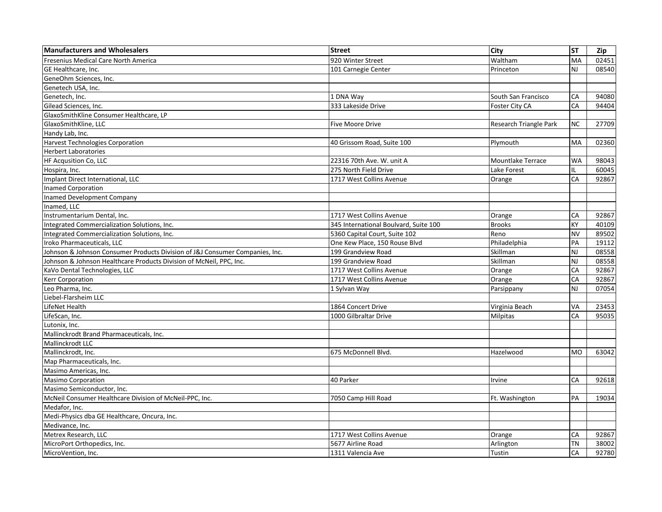| <b>Manufacturers and Wholesalers</b>                                         | <b>Street</b>                         | <b>City</b>              | <b>ST</b> | Zip   |
|------------------------------------------------------------------------------|---------------------------------------|--------------------------|-----------|-------|
| Fresenius Medical Care North America                                         | 920 Winter Street                     | Waltham                  | MA        | 02451 |
| GE Healthcare, Inc.                                                          | 101 Carnegie Center                   | Princeton                | <b>NJ</b> | 08540 |
| GeneOhm Sciences, Inc.                                                       |                                       |                          |           |       |
| Genetech USA, Inc.                                                           |                                       |                          |           |       |
| Genetech, Inc.                                                               | 1 DNA Way                             | South San Francisco      | CA        | 94080 |
| Gilead Sciences, Inc.                                                        | 333 Lakeside Drive                    | Foster City CA           | CA        | 94404 |
| GlaxoSmithKline Consumer Healthcare, LP                                      |                                       |                          |           |       |
| GlaxoSmithKline, LLC                                                         | <b>Five Moore Drive</b>               | Research Triangle Park   | <b>NC</b> | 27709 |
| Handy Lab, Inc.                                                              |                                       |                          |           |       |
| Harvest Technologies Corporation                                             | 40 Grissom Road, Suite 100            | Plymouth                 | MA        | 02360 |
| <b>Herbert Laboratories</b>                                                  |                                       |                          |           |       |
| HF Acqusition Co, LLC                                                        | 22316 70th Ave. W. unit A             | <b>Mountlake Terrace</b> | <b>WA</b> | 98043 |
| Hospira, Inc.                                                                | 275 North Field Drive                 | Lake Forest              | IL        | 60045 |
| Implant Direct International, LLC                                            | 1717 West Collins Avenue              | Orange                   | CA        | 92867 |
| Inamed Corporation                                                           |                                       |                          |           |       |
| Inamed Development Company                                                   |                                       |                          |           |       |
| Inamed, LLC                                                                  |                                       |                          |           |       |
| Instrumentarium Dental, Inc.                                                 | 1717 West Collins Avenue              | Orange                   | CA        | 92867 |
| Integrated Commercialization Solutions, Inc.                                 | 345 International Boulvard, Suite 100 | <b>Brooks</b>            | KY        | 40109 |
| Integrated Commercialization Solutions, Inc.                                 | 5360 Capital Court, Suite 102         | Reno                     | <b>NV</b> | 89502 |
| Iroko Pharmaceuticals. LLC                                                   | One Kew Place, 150 Rouse Blvd         | Philadelphia             | PA        | 19112 |
| Johnson & Johnson Consumer Products Division of J&J Consumer Companies, Inc. | 199 Grandview Road                    | Skillman                 | NJ        | 08558 |
| Johnson & Johnson Healthcare Products Division of McNeil, PPC, Inc.          | 199 Grandview Road                    | Skillman                 | <b>NJ</b> | 08558 |
| KaVo Dental Technologies, LLC                                                | 1717 West Collins Avenue              | Orange                   | CA        | 92867 |
| Kerr Corporation                                                             | 1717 West Collins Avenue              | Orange                   | CA        | 92867 |
| Leo Pharma, Inc.                                                             | 1 Sylvan Way                          | Parsippany               | NJ        | 07054 |
| Liebel-Flarsheim LLC                                                         |                                       |                          |           |       |
| LifeNet Health                                                               | 1864 Concert Drive                    | Virginia Beach           | VA        | 23453 |
| LifeScan, Inc.                                                               | 1000 Gilbraltar Drive                 | <b>Milpitas</b>          | CA        | 95035 |
| Lutonix, Inc.                                                                |                                       |                          |           |       |
| Mallinckrodt Brand Pharmaceuticals, Inc.                                     |                                       |                          |           |       |
| Mallinckrodt LLC                                                             |                                       |                          |           |       |
| Mallinckrodt, Inc.                                                           | 675 McDonnell Blvd.                   | Hazelwood                | <b>MO</b> | 63042 |
| Map Pharmaceuticals, Inc.                                                    |                                       |                          |           |       |
| Masimo Americas, Inc.                                                        |                                       |                          |           |       |
| <b>Masimo Corporation</b>                                                    | 40 Parker                             | Irvine                   | CA        | 92618 |
| Masimo Semiconductor, Inc.                                                   |                                       |                          |           |       |
| McNeil Consumer Healthcare Division of McNeil-PPC, Inc.                      | 7050 Camp Hill Road                   | Ft. Washington           | PA        | 19034 |
| Medafor, Inc.                                                                |                                       |                          |           |       |
| Medi-Physics dba GE Healthcare, Oncura, Inc.                                 |                                       |                          |           |       |
| Medivance, Inc.                                                              |                                       |                          |           |       |
| Metrex Research, LLC                                                         | 1717 West Collins Avenue              | Orange                   | CA        | 92867 |
| MicroPort Orthopedics, Inc.                                                  | 5677 Airline Road                     | Arlington                | TN        | 38002 |
| MicroVention, Inc.                                                           | 1311 Valencia Ave                     | Tustin                   | CA        | 92780 |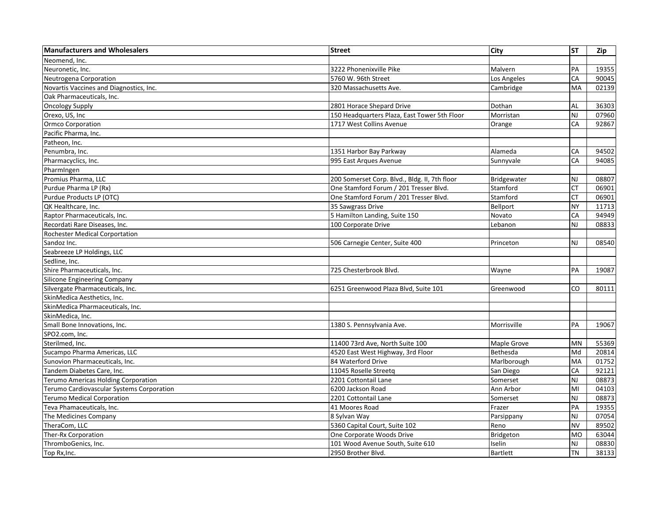| <b>Manufacturers and Wholesalers</b>      | <b>Street</b>                                 | City            | <b>ST</b>      | Zip   |
|-------------------------------------------|-----------------------------------------------|-----------------|----------------|-------|
| Neomend. Inc.                             |                                               |                 |                |       |
| Neuronetic, Inc.                          | 3222 Phonenixville Pike                       | Malvern         | PA             | 19355 |
| Neutrogena Corporation                    | 5760 W. 96th Street                           | Los Angeles     | CA             | 90045 |
| Novartis Vaccines and Diagnostics, Inc.   | 320 Massachusetts Ave.                        | Cambridge       | <b>MA</b>      | 02139 |
| Oak Pharmaceuticals, Inc.                 |                                               |                 |                |       |
| <b>Oncology Supply</b>                    | 2801 Horace Shepard Drive                     | Dothan          | AL             | 36303 |
| Orexo, US, Inc                            | 150 Headquarters Plaza, East Tower 5th Floor  | Morristan       | <b>NJ</b>      | 07960 |
| <b>Ormco Corporation</b>                  | 1717 West Collins Avenue                      | Orange          | CA             | 92867 |
| Pacific Pharma, Inc.                      |                                               |                 |                |       |
| Patheon, Inc.                             |                                               |                 |                |       |
| Penumbra, Inc.                            | 1351 Harbor Bay Parkway                       | Alameda         | CA             | 94502 |
| Pharmacyclics, Inc.                       | 995 East Arques Avenue                        | Sunnyvale       | CA             | 94085 |
| PharmIngen                                |                                               |                 |                |       |
| Promius Pharma, LLC                       | 200 Somerset Corp. Blvd., Bldg. II, 7th floor | Bridgewater     | <b>NJ</b>      | 08807 |
| Purdue Pharma LP (Rx)                     | One Stamford Forum / 201 Tresser Blvd.        | Stamford        | <b>CT</b>      | 06901 |
| Purdue Products LP (OTC)                  | One Stamford Forum / 201 Tresser Blvd.        | Stamford        | <b>CT</b>      | 06901 |
| QK Healthcare, Inc.                       | 35 Sawgrass Drive                             | Bellport        | <b>NY</b>      | 11713 |
| Raptor Pharmaceuticals, Inc.              | 5 Hamilton Landing, Suite 150                 | Novato          | CA             | 94949 |
| Recordati Rare Diseases, Inc.             | 100 Corporate Drive                           | Lebanon         | N <sub>J</sub> | 08833 |
| <b>Rochester Medical Corportation</b>     |                                               |                 |                |       |
| Sandoz Inc.                               | 506 Carnegie Center, Suite 400                | Princeton       | <b>NJ</b>      | 08540 |
| Seabreeze LP Holdings, LLC                |                                               |                 |                |       |
| Sedline, Inc.                             |                                               |                 |                |       |
| Shire Pharmaceuticals, Inc.               | 725 Chesterbrook Blvd.                        | Wayne           | PA             | 19087 |
| <b>Silicone Engineering Company</b>       |                                               |                 |                |       |
| Silvergate Pharmaceuticals, Inc.          | 6251 Greenwood Plaza Blvd, Suite 101          | Greenwood       | <b>CO</b>      | 80111 |
| SkinMedica Aesthetics, Inc.               |                                               |                 |                |       |
| SkinMedica Pharmaceuticals, Inc.          |                                               |                 |                |       |
| SkinMedica, Inc.                          |                                               |                 |                |       |
| Small Bone Innovations, Inc.              | 1380 S. Pennsylvania Ave.                     | Morrisville     | PA             | 19067 |
| SPO2.com, Inc.                            |                                               |                 |                |       |
| Sterilmed, Inc.                           | 11400 73rd Ave, North Suite 100               | Maple Grove     | <b>MN</b>      | 55369 |
| Sucampo Pharma Americas, LLC              | 4520 East West Highway, 3rd Floor             | Bethesda        | Md             | 20814 |
| Sunovion Pharmaceuticals, Inc.            | 84 Waterford Drive                            | Marlborough     | MA             | 01752 |
| Tandem Diabetes Care, Inc.                | 11045 Roselle Streetg                         | San Diego       | CA             | 92121 |
| Terumo Americas Holding Corporation       | 2201 Cottontail Lane                          | Somerset        | <b>NJ</b>      | 08873 |
| Terumo Cardiovascular Systems Corporation | 6200 Jackson Road                             | Ann Arbor       | MI             | 04103 |
| <b>Terumo Medical Corporation</b>         | 2201 Cottontail Lane                          | Somerset        | <b>NJ</b>      | 08873 |
| Teva Phamaceuticals, Inc.                 | 41 Moores Road                                | Frazer          | PA             | 19355 |
| The Medicines Company                     | 8 Sylvan Way                                  | Parsippany      | <b>NJ</b>      | 07054 |
| TheraCom, LLC                             | 5360 Capital Court, Suite 102                 | Reno            | <b>NV</b>      | 89502 |
| Ther-Rx Corporation                       | One Corporate Woods Drive                     | Bridgeton       | <b>MO</b>      | 63044 |
| ThromboGenics, Inc.                       | 101 Wood Avenue South, Suite 610              | Iselin          | <b>NJ</b>      | 08830 |
| Top Rx, Inc.                              | 2950 Brother Blvd.                            | <b>Bartlett</b> | <b>TN</b>      | 38133 |